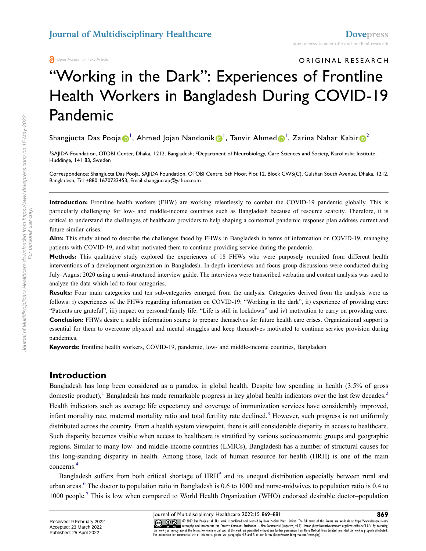Open Access Full Text Article

ORIGINAL RESEARCH

# "Working in the Dark": Experiences of Frontline Health Workers in Bangladesh During COVID-19 Pandemic

Shangjucta Das Pooja <mark>D</mark> ', Ahmed Jojan Nandonik D <sup>I</sup>, Tanvir Ahmed D <sup>I</sup>, Zarina Nahar Kabir D <sup>[2](#page-0-0)</sup>

<span id="page-0-0"></span><sup>1</sup>SAJIDA Foundation, OTOBI Center, Dhaka, 1212, Bangladesh; <sup>2</sup>Department of Neurobiology, Care Sciences and Society, Karolinska Institute, Huddinge, 141 83, Sweden

Correspondence: Shangjucta Das Pooja, SAJIDA Foundation, OTOBI Centre, 5th Floor, Plot 12, Block CWS(C), Gulshan South Avenue, Dhaka, 1212, Bangladesh, Tel +880 1670733453, Email shangjuctap@yahoo.com

**Introduction:** Frontline health workers (FHW) are working relentlessly to combat the COVID-19 pandemic globally. This is particularly challenging for low- and middle-income countries such as Bangladesh because of resource scarcity. Therefore, it is critical to understand the challenges of healthcare providers to help shaping a contextual pandemic response plan address current and future similar crises.

**Aim:** This study aimed to describe the challenges faced by FHWs in Bangladesh in terms of information on COVID-19, managing patients with COVID-19, and what motivated them to continue providing service during the pandemic.

**Methods:** This qualitative study explored the experiences of 18 FHWs who were purposely recruited from different health interventions of a development organization in Bangladesh. In-depth interviews and focus group discussions were conducted during July–August 2020 using a semi-structured interview guide. The interviews were transcribed verbatim and content analysis was used to analyze the data which led to four categories.

**Results:** Four main categories and ten sub-categories emerged from the analysis. Categories derived from the analysis were as follows: i) experiences of the FHWs regarding information on COVID-19: "Working in the dark", ii) experience of providing care: "Patients are grateful", iii) impact on personal/family life: "Life is still in lockdown" and iv) motivation to carry on providing care. **Conclusion:** FHWs desire a stable information source to prepare themselves for future health care crises. Organizational support is essential for them to overcome physical and mental struggles and keep themselves motivated to continue service provision during pandemics.

**Keywords:** frontline health workers, COVID-19, pandemic, low- and middle-income countries, Bangladesh

### **Introduction**

<span id="page-0-2"></span><span id="page-0-1"></span>Bangladesh has long been considered as a paradox in global health. Despite low spending in health (3.5% of gross domestic product),<sup>[1](#page-11-0)</sup> Bangladesh has made remarkable progress in key global health indicators over the last few decades.<sup>[2](#page-11-1)</sup> Health indicators such as average life expectancy and coverage of immunization services have considerably improved, infant mortality rate, maternal mortality ratio and total fertility rate declined.<sup>[3](#page-11-2)</sup> However, such progress is not uniformly distributed across the country. From a health system viewpoint, there is still considerable disparity in access to healthcare. Such disparity becomes visible when access to healthcare is stratified by various socioeconomic groups and geographic regions. Similar to many low- and middle-income countries (LMICs), Bangladesh has a number of structural causes for this long-standing disparity in health. Among those, lack of human resource for health (HRH) is one of the main concerns[.4](#page-11-3)

<span id="page-0-6"></span><span id="page-0-5"></span><span id="page-0-4"></span><span id="page-0-3"></span>Bangladesh suffers from both critical shortage of HRH<sup>[5](#page-11-4)</sup> and its unequal distribution especially between rural and urban areas.<sup>[6](#page-11-5)</sup> The doctor to population ratio in Bangladesh is 0.6 to 1000 and nurse-midwives to population ratio is 0.4 to 1000 people[.7](#page-11-6) This is low when compared to World Health Organization (WHO) endorsed desirable doctor–population

Journal of Multidisciplinary Healthcare 2022:15 869–881 **869**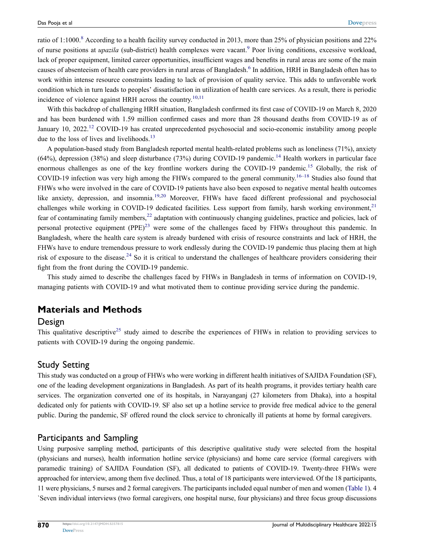<span id="page-1-1"></span><span id="page-1-0"></span>ratio of 1:1000.<sup>8</sup> According to a health facility survey conducted in 2013, more than 25% of physician positions and 22% of nurse positions at *upazila* (sub-district) health complexes were vacant[.9](#page-11-8) Poor living conditions, excessive workload, lack of proper equipment, limited career opportunities, insufficient wages and benefits in rural areas are some of the main causes of absenteeism of health care providers in rural areas of Bangladesh.[6](#page-11-5) In addition, HRH in Bangladesh often has to work within intense resource constraints leading to lack of provision of quality service. This adds to unfavorable work condition which in turn leads to peoples' dissatisfaction in utilization of health care services. As a result, there is periodic incidence of violence against HRH across the country.<sup>[10](#page-11-9)[,11](#page-11-10)</sup>

<span id="page-1-3"></span><span id="page-1-2"></span>With this backdrop of challenging HRH situation, Bangladesh confirmed its first case of COVID-19 on March 8, 2020 and has been burdened with 1.59 million confirmed cases and more than 28 thousand deaths from COVID-19 as of January 10, 2022.<sup>[12](#page-11-11)</sup> COVID-19 has created unprecedented psychosocial and socio-economic instability among people due to the loss of lives and livelihoods. $^{13}$  $^{13}$  $^{13}$ 

<span id="page-1-9"></span><span id="page-1-8"></span><span id="page-1-7"></span><span id="page-1-6"></span><span id="page-1-5"></span><span id="page-1-4"></span>A population-based study from Bangladesh reported mental health-related problems such as loneliness (71%), anxiety (64%), depression (38%) and sleep disturbance (73%) during COVID-19 pandemic.<sup>14</sup> Health workers in particular face enormous challenges as one of the key frontline workers during the COVID-19 pandemic.<sup>[15](#page-11-14)</sup> Globally, the risk of COVID-19 infection was very high among the FHWs compared to the general community.<sup>[16–](#page-11-15)[18](#page-11-16)</sup> Studies also found that FHWs who were involved in the care of COVID-19 patients have also been exposed to negative mental health outcomes like anxiety, depression, and insomnia.<sup>[19](#page-11-17)[,20](#page-11-18)</sup> Moreover, FHWs have faced different professional and psychosocial challenges while working in COVID-19 dedicated facilities. Less support from family, harsh working environment, $21$ fear of contaminating family members,[22](#page-11-20) adaptation with continuously changing guidelines, practice and policies, lack of personal protective equipment  $(PPE)^{23}$  were some of the challenges faced by FHWs throughout this pandemic. In Bangladesh, where the health care system is already burdened with crisis of resource constraints and lack of HRH, the FHWs have to endure tremendous pressure to work endlessly during the COVID-19 pandemic thus placing them at high risk of exposure to the disease.[24](#page-11-22) So it is critical to understand the challenges of healthcare providers considering their fight from the front during the COVID-19 pandemic.

<span id="page-1-12"></span><span id="page-1-11"></span><span id="page-1-10"></span>This study aimed to describe the challenges faced by FHWs in Bangladesh in terms of information on COVID-19, managing patients with COVID-19 and what motivated them to continue providing service during the pandemic.

### **Materials and Methods**

#### Design

<span id="page-1-13"></span>This qualitative descriptive<sup>[25](#page-11-23)</sup> study aimed to describe the experiences of FHWs in relation to providing services to patients with COVID-19 during the ongoing pandemic.

### Study Setting

This study was conducted on a group of FHWs who were working in different health initiatives of SAJIDA Foundation (SF), one of the leading development organizations in Bangladesh. As part of its health programs, it provides tertiary health care services. The organization converted one of its hospitals, in Narayanganj (27 kilometers from Dhaka), into a hospital dedicated only for patients with COVID-19. SF also set up a hotline service to provide free medical advice to the general public. During the pandemic, SF offered round the clock service to chronically ill patients at home by formal caregivers.

### Participants and Sampling

Using purposive sampling method, participants of this descriptive qualitative study were selected from the hospital (physicians and nurses), health information hotline service (physicians) and home care service (formal caregivers with paramedic training) of SAJIDA Foundation (SF), all dedicated to patients of COVID-19. Twenty-three FHWs were approached for interview, among them five declined. Thus, a total of 18 participants were interviewed. Of the 18 participants, 11 were physicians, 5 nurses and 2 formal caregivers. The participants included equal number of men and women ([Table 1\)](#page-2-0). 4 `Seven individual interviews (two formal caregivers, one hospital nurse, four physicians) and three focus group discussions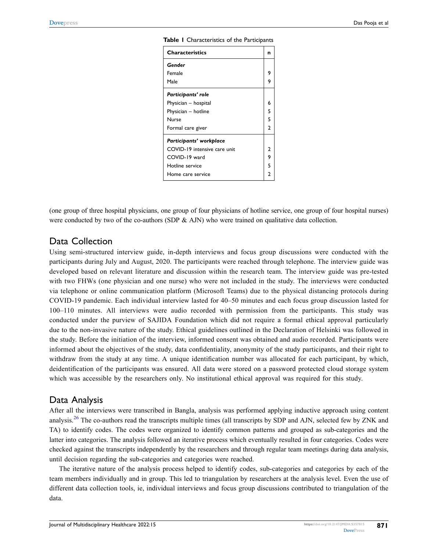| <b>Characteristics</b>       | n              |
|------------------------------|----------------|
| Gender                       |                |
| Female                       | 9              |
| Male                         | 9              |
| Participants' role           |                |
| Physician - hospital         | 6              |
| Physician - hotline          | 5              |
| Nurse                        | 5              |
| Formal care giver            | $\mathcal{P}$  |
| Participants' workplace      |                |
| COVID-19 intensive care unit | 2              |
| COVID-19 ward                | 9              |
| Hotline service              | 5              |
| Home care service            | $\overline{2}$ |

<span id="page-2-0"></span>**Table 1** Characteristics of the Participants

(one group of three hospital physicians, one group of four physicians of hotline service, one group of four hospital nurses) were conducted by two of the co-authors (SDP & AJN) who were trained on qualitative data collection.

### Data Collection

Using semi-structured interview guide, in-depth interviews and focus group discussions were conducted with the participants during July and August, 2020. The participants were reached through telephone. The interview guide was developed based on relevant literature and discussion within the research team. The interview guide was pre-tested with two FHWs (one physician and one nurse) who were not included in the study. The interviews were conducted via telephone or online communication platform (Microsoft Teams) due to the physical distancing protocols during COVID-19 pandemic. Each individual interview lasted for 40–50 minutes and each focus group discussion lasted for 100–110 minutes. All interviews were audio recorded with permission from the participants. This study was conducted under the purview of SAJIDA Foundation which did not require a formal ethical approval particularly due to the non-invasive nature of the study. Ethical guidelines outlined in the Declaration of Helsinki was followed in the study. Before the initiation of the interview, informed consent was obtained and audio recorded. Participants were informed about the objectives of the study, data confidentiality, anonymity of the study participants, and their right to withdraw from the study at any time. A unique identification number was allocated for each participant, by which, deidentification of the participants was ensured. All data were stored on a password protected cloud storage system which was accessible by the researchers only. No institutional ethical approval was required for this study.

### Data Analysis

<span id="page-2-1"></span>After all the interviews were transcribed in Bangla, analysis was performed applying inductive approach using content analysis.<sup>[26](#page-11-24)</sup> The co-authors read the transcripts multiple times (all transcripts by SDP and AJN, selected few by ZNK and TA) to identify codes. The codes were organized to identify common patterns and grouped as sub-categories and the latter into categories. The analysis followed an iterative process which eventually resulted in four categories. Codes were checked against the transcripts independently by the researchers and through regular team meetings during data analysis, until decision regarding the sub-categories and categories were reached.

The iterative nature of the analysis process helped to identify codes, sub-categories and categories by each of the team members individually and in group. This led to triangulation by researchers at the analysis level. Even the use of different data collection tools, ie, individual interviews and focus group discussions contributed to triangulation of the data.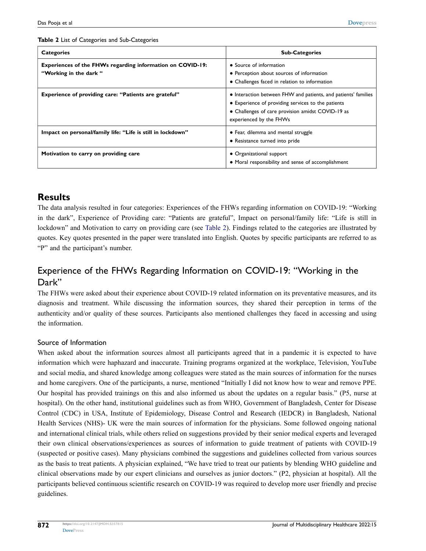| <b>Categories</b>                                                                   | <b>Sub-Categories</b>                                                                                                                                                                                |
|-------------------------------------------------------------------------------------|------------------------------------------------------------------------------------------------------------------------------------------------------------------------------------------------------|
| Experiences of the FHWs regarding information on COVID-19:<br>"Working in the dark" | • Source of information<br>• Perception about sources of information<br>• Challenges faced in relation to information                                                                                |
| Experience of providing care: "Patients are grateful"                               | • Interaction between FHW and patients, and patients' families<br>• Experience of providing services to the patients<br>• Challenges of care provision amidst COVID-19 as<br>experienced by the FHWs |
| Impact on personal/family life: "Life is still in lockdown"                         | • Fear, dilemma and mental struggle<br>• Resistance turned into pride                                                                                                                                |
| Motivation to carry on providing care                                               | • Organizational support<br>• Moral responsibility and sense of accomplishment                                                                                                                       |

#### <span id="page-3-0"></span>**Table 2** List of Categories and Sub-Categories

### **Results**

The data analysis resulted in four categories: Experiences of the FHWs regarding information on COVID-19: "Working in the dark", Experience of Providing care: "Patients are grateful", Impact on personal/family life: "Life is still in lockdown" and Motivation to carry on providing care (see [Table 2](#page-3-0)). Findings related to the categories are illustrated by quotes. Key quotes presented in the paper were translated into English. Quotes by specific participants are referred to as "P" and the participant's number.

### Experience of the FHWs Regarding Information on COVID-19: "Working in the Dark"

The FHWs were asked about their experience about COVID-19 related information on its preventative measures, and its diagnosis and treatment. While discussing the information sources, they shared their perception in terms of the authenticity and/or quality of these sources. Participants also mentioned challenges they faced in accessing and using the information.

### Source of Information

When asked about the information sources almost all participants agreed that in a pandemic it is expected to have information which were haphazard and inaccurate. Training programs organized at the workplace, Television, YouTube and social media, and shared knowledge among colleagues were stated as the main sources of information for the nurses and home caregivers. One of the participants, a nurse, mentioned "Initially I did not know how to wear and remove PPE. Our hospital has provided trainings on this and also informed us about the updates on a regular basis." (P5, nurse at hospital). On the other hand, institutional guidelines such as from WHO, Government of Bangladesh, Center for Disease Control (CDC) in USA, Institute of Epidemiology, Disease Control and Research (IEDCR) in Bangladesh, National Health Services (NHS)- UK were the main sources of information for the physicians. Some followed ongoing national and international clinical trials, while others relied on suggestions provided by their senior medical experts and leveraged their own clinical observations/experiences as sources of information to guide treatment of patients with COVID-19 (suspected or positive cases). Many physicians combined the suggestions and guidelines collected from various sources as the basis to treat patients. A physician explained, "We have tried to treat our patients by blending WHO guideline and clinical observations made by our expert clinicians and ourselves as junior doctors." (P2, physician at hospital). All the participants believed continuous scientific research on COVID-19 was required to develop more user friendly and precise guidelines.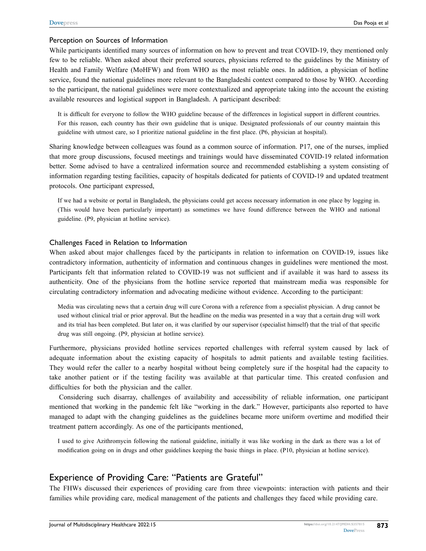#### Perception on Sources of Information

While participants identified many sources of information on how to prevent and treat COVID-19, they mentioned only few to be reliable. When asked about their preferred sources, physicians referred to the guidelines by the Ministry of Health and Family Welfare (MoHFW) and from WHO as the most reliable ones. In addition, a physician of hotline service, found the national guidelines more relevant to the Bangladeshi context compared to those by WHO. According to the participant, the national guidelines were more contextualized and appropriate taking into the account the existing available resources and logistical support in Bangladesh. A participant described:

It is difficult for everyone to follow the WHO guideline because of the differences in logistical support in different countries. For this reason, each country has their own guideline that is unique. Designated professionals of our country maintain this guideline with utmost care, so I prioritize national guideline in the first place. (P6, physician at hospital).

Sharing knowledge between colleagues was found as a common source of information. P17, one of the nurses, implied that more group discussions, focused meetings and trainings would have disseminated COVID-19 related information better. Some advised to have a centralized information source and recommended establishing a system consisting of information regarding testing facilities, capacity of hospitals dedicated for patients of COVID-19 and updated treatment protocols. One participant expressed,

If we had a website or portal in Bangladesh, the physicians could get access necessary information in one place by logging in. (This would have been particularly important) as sometimes we have found difference between the WHO and national guideline. (P9, physician at hotline service).

#### Challenges Faced in Relation to Information

When asked about major challenges faced by the participants in relation to information on COVID-19, issues like contradictory information, authenticity of information and continuous changes in guidelines were mentioned the most. Participants felt that information related to COVID-19 was not sufficient and if available it was hard to assess its authenticity. One of the physicians from the hotline service reported that mainstream media was responsible for circulating contradictory information and advocating medicine without evidence. According to the participant:

Media was circulating news that a certain drug will cure Corona with a reference from a specialist physician. A drug cannot be used without clinical trial or prior approval. But the headline on the media was presented in a way that a certain drug will work and its trial has been completed. But later on, it was clarified by our supervisor (specialist himself) that the trial of that specific drug was still ongoing. (P9, physician at hotline service).

Furthermore, physicians provided hotline services reported challenges with referral system caused by lack of adequate information about the existing capacity of hospitals to admit patients and available testing facilities. They would refer the caller to a nearby hospital without being completely sure if the hospital had the capacity to take another patient or if the testing facility was available at that particular time. This created confusion and difficulties for both the physician and the caller.

Considering such disarray, challenges of availability and accessibility of reliable information, one participant mentioned that working in the pandemic felt like "working in the dark." However, participants also reported to have managed to adapt with the changing guidelines as the guidelines became more uniform overtime and modified their treatment pattern accordingly. As one of the participants mentioned,

I used to give Azithromycin following the national guideline, initially it was like working in the dark as there was a lot of modification going on in drugs and other guidelines keeping the basic things in place. (P10, physician at hotline service).

### Experience of Providing Care: "Patients are Grateful"

The FHWs discussed their experiences of providing care from three viewpoints: interaction with patients and their families while providing care, medical management of the patients and challenges they faced while providing care.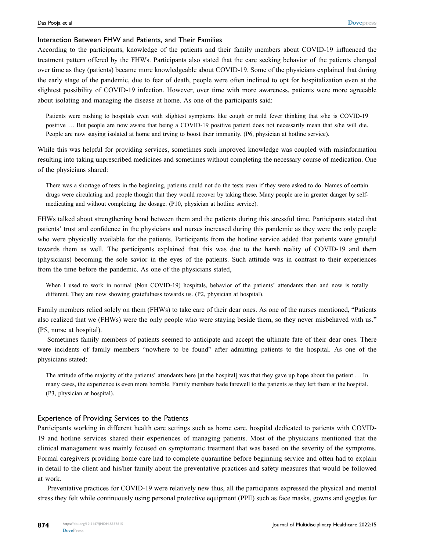#### Interaction Between FHW and Patients, and Their Families

According to the participants, knowledge of the patients and their family members about COVID-19 influenced the treatment pattern offered by the FHWs. Participants also stated that the care seeking behavior of the patients changed over time as they (patients) became more knowledgeable about COVID-19. Some of the physicians explained that during the early stage of the pandemic, due to fear of death, people were often inclined to opt for hospitalization even at the slightest possibility of COVID-19 infection. However, over time with more awareness, patients were more agreeable about isolating and managing the disease at home. As one of the participants said:

Patients were rushing to hospitals even with slightest symptoms like cough or mild fever thinking that s/he is COVID-19 positive … But people are now aware that being a COVID-19 positive patient does not necessarily mean that s/he will die. People are now staying isolated at home and trying to boost their immunity. (P6, physician at hotline service).

While this was helpful for providing services, sometimes such improved knowledge was coupled with misinformation resulting into taking unprescribed medicines and sometimes without completing the necessary course of medication. One of the physicians shared:

There was a shortage of tests in the beginning, patients could not do the tests even if they were asked to do. Names of certain drugs were circulating and people thought that they would recover by taking these. Many people are in greater danger by selfmedicating and without completing the dosage. (P10, physician at hotline service).

FHWs talked about strengthening bond between them and the patients during this stressful time. Participants stated that patients' trust and confidence in the physicians and nurses increased during this pandemic as they were the only people who were physically available for the patients. Participants from the hotline service added that patients were grateful towards them as well. The participants explained that this was due to the harsh reality of COVID-19 and them (physicians) becoming the sole savior in the eyes of the patients. Such attitude was in contrast to their experiences from the time before the pandemic. As one of the physicians stated,

When I used to work in normal (Non COVID-19) hospitals, behavior of the patients' attendants then and now is totally different. They are now showing gratefulness towards us. (P2, physician at hospital).

Family members relied solely on them (FHWs) to take care of their dear ones. As one of the nurses mentioned, "Patients also realized that we (FHWs) were the only people who were staying beside them, so they never misbehaved with us." (P5, nurse at hospital).

Sometimes family members of patients seemed to anticipate and accept the ultimate fate of their dear ones. There were incidents of family members "nowhere to be found" after admitting patients to the hospital. As one of the physicians stated:

The attitude of the majority of the patients' attendants here [at the hospital] was that they gave up hope about the patient … In many cases, the experience is even more horrible. Family members bade farewell to the patients as they left them at the hospital. (P3, physician at hospital).

#### Experience of Providing Services to the Patients

Participants working in different health care settings such as home care, hospital dedicated to patients with COVID-19 and hotline services shared their experiences of managing patients. Most of the physicians mentioned that the clinical management was mainly focused on symptomatic treatment that was based on the severity of the symptoms. Formal caregivers providing home care had to complete quarantine before beginning service and often had to explain in detail to the client and his/her family about the preventative practices and safety measures that would be followed at work.

Preventative practices for COVID-19 were relatively new thus, all the participants expressed the physical and mental stress they felt while continuously using personal protective equipment (PPE) such as face masks, gowns and goggles for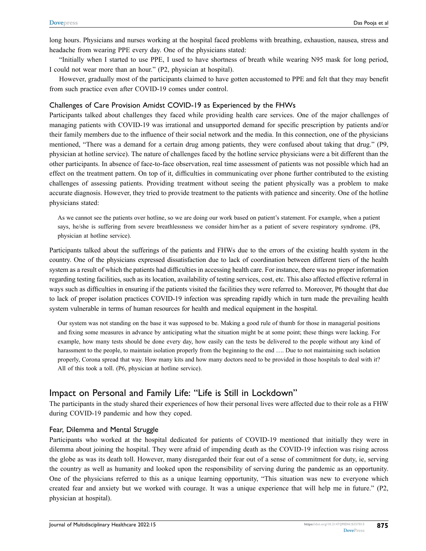long hours. Physicians and nurses working at the hospital faced problems with breathing, exhaustion, nausea, stress and headache from wearing PPE every day. One of the physicians stated:

"Initially when I started to use PPE, I used to have shortness of breath while wearing N95 mask for long period, I could not wear more than an hour." (P2, physician at hospital).

However, gradually most of the participants claimed to have gotten accustomed to PPE and felt that they may benefit from such practice even after COVID-19 comes under control.

#### Challenges of Care Provision Amidst COVID-19 as Experienced by the FHWs

Participants talked about challenges they faced while providing health care services. One of the major challenges of managing patients with COVID-19 was irrational and unsupported demand for specific prescription by patients and/or their family members due to the influence of their social network and the media. In this connection, one of the physicians mentioned, "There was a demand for a certain drug among patients, they were confused about taking that drug." (P9, physician at hotline service). The nature of challenges faced by the hotline service physicians were a bit different than the other participants. In absence of face-to-face observation, real time assessment of patients was not possible which had an effect on the treatment pattern. On top of it, difficulties in communicating over phone further contributed to the existing challenges of assessing patients. Providing treatment without seeing the patient physically was a problem to make accurate diagnosis. However, they tried to provide treatment to the patients with patience and sincerity. One of the hotline physicians stated:

As we cannot see the patients over hotline, so we are doing our work based on patient's statement. For example, when a patient says, he/she is suffering from severe breathlessness we consider him/her as a patient of severe respiratory syndrome. (P8, physician at hotline service).

Participants talked about the sufferings of the patients and FHWs due to the errors of the existing health system in the country. One of the physicians expressed dissatisfaction due to lack of coordination between different tiers of the health system as a result of which the patients had difficulties in accessing health care. For instance, there was no proper information regarding testing facilities, such as its location, availability of testing services, cost, etc. This also affected effective referral in ways such as difficulties in ensuring if the patients visited the facilities they were referred to. Moreover, P6 thought that due to lack of proper isolation practices COVID-19 infection was spreading rapidly which in turn made the prevailing health system vulnerable in terms of human resources for health and medical equipment in the hospital.

Our system was not standing on the base it was supposed to be. Making a good rule of thumb for those in managerial positions and fixing some measures in advance by anticipating what the situation might be at some point; these things were lacking. For example, how many tests should be done every day, how easily can the tests be delivered to the people without any kind of harassment to the people, to maintain isolation properly from the beginning to the end .... Due to not maintaining such isolation properly, Corona spread that way. How many kits and how many doctors need to be provided in those hospitals to deal with it? All of this took a toll. (P6, physician at hotline service).

### Impact on Personal and Family Life: "Life is Still in Lockdown"

The participants in the study shared their experiences of how their personal lives were affected due to their role as a FHW during COVID-19 pandemic and how they coped.

#### Fear, Dilemma and Mental Struggle

Participants who worked at the hospital dedicated for patients of COVID-19 mentioned that initially they were in dilemma about joining the hospital. They were afraid of impending death as the COVID-19 infection was rising across the globe as was its death toll. However, many disregarded their fear out of a sense of commitment for duty, ie, serving the country as well as humanity and looked upon the responsibility of serving during the pandemic as an opportunity. One of the physicians referred to this as a unique learning opportunity, "This situation was new to everyone which created fear and anxiety but we worked with courage. It was a unique experience that will help me in future." (P2, physician at hospital).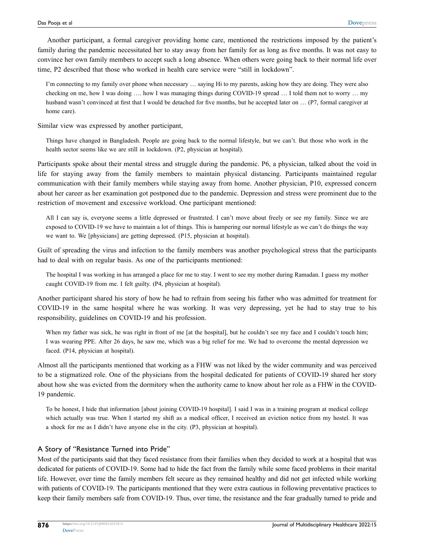Another participant, a formal caregiver providing home care, mentioned the restrictions imposed by the patient's family during the pandemic necessitated her to stay away from her family for as long as five months. It was not easy to convince her own family members to accept such a long absence. When others were going back to their normal life over time, P2 described that those who worked in health care service were "still in lockdown".

I'm connecting to my family over phone when necessary … saying Hi to my parents, asking how they are doing. They were also checking on me, how I was doing …. how I was managing things during COVID-19 spread … I told them not to worry … my husband wasn't convinced at first that I would be detached for five months, but he accepted later on ... (P7, formal caregiver at home care).

Similar view was expressed by another participant,

Things have changed in Bangladesh. People are going back to the normal lifestyle, but we can't. But those who work in the health sector seems like we are still in lockdown. (P2, physician at hospital).

Participants spoke about their mental stress and struggle during the pandemic. P6, a physician, talked about the void in life for staying away from the family members to maintain physical distancing. Participants maintained regular communication with their family members while staying away from home. Another physician, P10, expressed concern about her career as her examination got postponed due to the pandemic. Depression and stress were prominent due to the restriction of movement and excessive workload. One participant mentioned:

All I can say is, everyone seems a little depressed or frustrated. I can't move about freely or see my family. Since we are exposed to COVID-19 we have to maintain a lot of things. This is hampering our normal lifestyle as we can't do things the way we want to. We [physicians] are getting depressed. (P15, physician at hospital).

Guilt of spreading the virus and infection to the family members was another psychological stress that the participants had to deal with on regular basis. As one of the participants mentioned:

The hospital I was working in has arranged a place for me to stay. I went to see my mother during Ramadan. I guess my mother caught COVID-19 from me. I felt guilty. (P4, physician at hospital).

Another participant shared his story of how he had to refrain from seeing his father who was admitted for treatment for COVID-19 in the same hospital where he was working. It was very depressing, yet he had to stay true to his responsibility, guidelines on COVID-19 and his profession.

When my father was sick, he was right in front of me [at the hospital], but he couldn't see my face and I couldn't touch him; I was wearing PPE. After 26 days, he saw me, which was a big relief for me. We had to overcome the mental depression we faced. (P14, physician at hospital).

Almost all the participants mentioned that working as a FHW was not liked by the wider community and was perceived to be a stigmatized role. One of the physicians from the hospital dedicated for patients of COVID-19 shared her story about how she was evicted from the dormitory when the authority came to know about her role as a FHW in the COVID-19 pandemic.

To be honest, I hide that information [about joining COVID-19 hospital]. I said I was in a training program at medical college which actually was true. When I started my shift as a medical officer, I received an eviction notice from my hostel. It was a shock for me as I didn't have anyone else in the city. (P3, physician at hospital).

#### A Story of "Resistance Turned into Pride"

Most of the participants said that they faced resistance from their families when they decided to work at a hospital that was dedicated for patients of COVID-19. Some had to hide the fact from the family while some faced problems in their marital life. However, over time the family members felt secure as they remained healthy and did not get infected while working with patients of COVID-19. The participants mentioned that they were extra cautious in following preventative practices to keep their family members safe from COVID-19. Thus, over time, the resistance and the fear gradually turned to pride and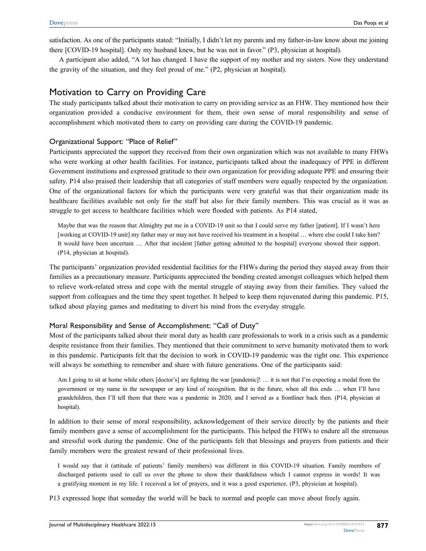satisfaction. As one of the participants stated: "Initially, I didn't let my parents and my father-in-law know about me joining there [COVID-19 hospital]. Only my husband knew, but he was not in favor." (P3, physician at hospital).

A participant also added, "A lot has changed. I have the support of my mother and my sisters. Now they understand the gravity of the situation, and they feel proud of me." (P2, physician at hospital).

### Motivation to Carry on Providing Care

The study participants talked about their motivation to carry on providing service as an FHW. They mentioned how their organization provided a conducive environment for them, their own sense of moral responsibility and sense of accomplishment which motivated them to carry on providing care during the COVID-19 pandemic.

#### Organizational Support: "Place of Relief"

Participants appreciated the support they received from their own organization which was not available to many FHWs who were working at other health facilities. For instance, participants talked about the inadequacy of PPE in different Government institutions and expressed gratitude to their own organization for providing adequate PPE and ensuring their safety. P14 also praised their leadership that all categories of staff members were equally respected by the organization. One of the organizational factors for which the participants were very grateful was that their organization made its healthcare facilities available not only for the staff but also for their family members. This was crucial as it was as struggle to get access to healthcare facilities which were flooded with patients. As P14 stated,

Maybe that was the reason that Almighty put me in a COVID-19 unit so that I could serve my father [patient]. If I wasn't here [working at COVID-19 unit] my father may or may not have received his treatment in a hospital … where else could I take him? It would have been uncertain … After that incident [father getting admitted to the hospital] everyone showed their support. (P14, physician at hospital).

The participants' organization provided residential facilities for the FHWs during the period they stayed away from their families as a precautionary measure. Participants appreciated the bonding created amongst colleagues which helped them to relieve work-related stress and cope with the mental struggle of staying away from their families. They valued the support from colleagues and the time they spent together. It helped to keep them rejuvenated during this pandemic. P15, talked about playing games and meditating to divert his mind from the everyday struggle.

#### Moral Responsibility and Sense of Accomplishment: "Call of Duty"

Most of the participants talked about their moral duty as health care professionals to work in a crisis such as a pandemic despite resistance from their families. They mentioned that their commitment to serve humanity motivated them to work in this pandemic. Participants felt that the decision to work in COVID-19 pandemic was the right one. This experience will always be something to remember and share with future generations. One of the participants said:

Am I going to sit at home while others [doctor's] are fighting the war [pandemic]! ... it is not that I'm expecting a medal from the government or my name in the newspaper or any kind of recognition. But in the future, when all this ends … when I'll have grandchildren, then I'll tell them that there was a pandemic in 2020, and I served as a frontliner back then. (P14, physician at hospital).

In addition to their sense of moral responsibility, acknowledgement of their service directly by the patients and their family members gave a sense of accomplishment for the participants. This helped the FHWs to endure all the strenuous and stressful work during the pandemic. One of the participants felt that blessings and prayers from patients and their family members were the greatest reward of their professional lives.

I would say that it (attitude of patients' family members) was different in this COVID-19 situation. Family members of discharged patients used to call us over the phone to show their thankfulness which I cannot express in words! It was a gratifying moment in my life. I received a lot of prayers, and it was a good experience. (P3, physician at hospital).

P13 expressed hope that someday the world will be back to normal and people can move about freely again.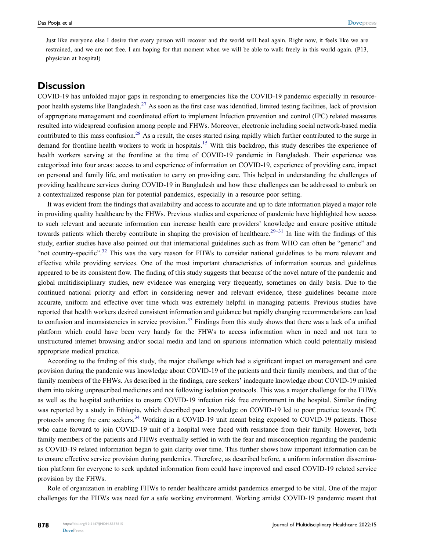Just like everyone else I desire that every person will recover and the world will heal again. Right now, it feels like we are restrained, and we are not free. I am hoping for that moment when we will be able to walk freely in this world again. (P13, physician at hospital)

### **Discussion**

<span id="page-9-1"></span><span id="page-9-0"></span>COVID-19 has unfolded major gaps in responding to emergencies like the COVID-19 pandemic especially in resourcepoor health systems like Bangladesh.<sup>27</sup> As soon as the first case was identified, limited testing facilities, lack of provision of appropriate management and coordinated effort to implement Infection prevention and control (IPC) related measures resulted into widespread confusion among people and FHWs. Moreover, electronic including social network-based media contributed to this mass confusion.<sup>[28](#page-11-26)</sup> As a result, the cases started rising rapidly which further contributed to the surge in demand for frontline health workers to work in hospitals.<sup>[15](#page-11-14)</sup> With this backdrop, this study describes the experience of health workers serving at the frontline at the time of COVID-19 pandemic in Bangladesh. Their experience was categorized into four areas: access to and experience of information on COVID-19, experience of providing care, impact on personal and family life, and motivation to carry on providing care. This helped in understanding the challenges of providing healthcare services during COVID-19 in Bangladesh and how these challenges can be addressed to embark on a contextualized response plan for potential pandemics, especially in a resource poor setting.

<span id="page-9-3"></span><span id="page-9-2"></span>It was evident from the findings that availability and access to accurate and up to date information played a major role in providing quality healthcare by the FHWs. Previous studies and experience of pandemic have highlighted how access to such relevant and accurate information can increase health care providers' knowledge and ensure positive attitude towards patients which thereby contribute in shaping the provision of healthcare.<sup>[29–](#page-12-0)[31](#page-12-1)</sup> In line with the findings of this study, earlier studies have also pointed out that international guidelines such as from WHO can often be "generic" and "not country-specific".<sup>[32](#page-12-2)</sup> This was the very reason for FHWs to consider national guidelines to be more relevant and effective while providing services. One of the most important characteristics of information sources and guidelines appeared to be its consistent flow. The finding of this study suggests that because of the novel nature of the pandemic and global multidisciplinary studies, new evidence was emerging very frequently, sometimes on daily basis. Due to the continued national priority and effort in considering newer and relevant evidence, these guidelines became more accurate, uniform and effective over time which was extremely helpful in managing patients. Previous studies have reported that health workers desired consistent information and guidance but rapidly changing recommendations can lead to confusion and inconsistencies in service provision.<sup>[33](#page-12-3)</sup> Findings from this study shows that there was a lack of a unified platform which could have been very handy for the FHWs to access information when in need and not turn to unstructured internet browsing and/or social media and land on spurious information which could potentially mislead appropriate medical practice.

<span id="page-9-5"></span><span id="page-9-4"></span>According to the finding of this study, the major challenge which had a significant impact on management and care provision during the pandemic was knowledge about COVID-19 of the patients and their family members, and that of the family members of the FHWs. As described in the findings, care seekers' inadequate knowledge about COVID-19 misled them into taking unprescribed medicines and not following isolation protocols. This was a major challenge for the FHWs as well as the hospital authorities to ensure COVID-19 infection risk free environment in the hospital. Similar finding was reported by a study in Ethiopia, which described poor knowledge on COVID-19 led to poor practice towards IPC protocols among the care seekers[.34](#page-12-4) Working in a COVID-19 unit meant being exposed to COVID-19 patients. Those who came forward to join COVID-19 unit of a hospital were faced with resistance from their family. However, both family members of the patients and FHWs eventually settled in with the fear and misconception regarding the pandemic as COVID-19 related information began to gain clarity over time. This further shows how important information can be to ensure effective service provision during pandemics. Therefore, as described before, a uniform information dissemination platform for everyone to seek updated information from could have improved and eased COVID-19 related service provision by the FHWs.

Role of organization in enabling FHWs to render healthcare amidst pandemics emerged to be vital. One of the major challenges for the FHWs was need for a safe working environment. Working amidst COVID-19 pandemic meant that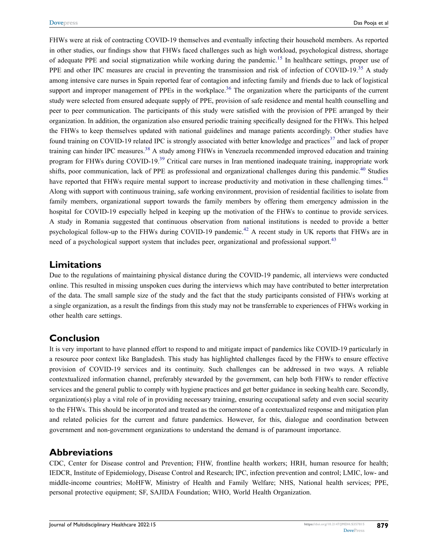<span id="page-10-3"></span><span id="page-10-2"></span><span id="page-10-1"></span><span id="page-10-0"></span>FHWs were at risk of contracting COVID-19 themselves and eventually infecting their household members. As reported in other studies, our findings show that FHWs faced challenges such as high workload, psychological distress, shortage of adequate PPE and social stigmatization while working during the pandemic.<sup>[15](#page-11-14)</sup> In healthcare settings, proper use of PPE and other IPC measures are crucial in preventing the transmission and risk of infection of COVID-19.<sup>[35](#page-12-5)</sup> A study among intensive care nurses in Spain reported fear of contagion and infecting family and friends due to lack of logistical support and improper management of PPEs in the workplace.<sup>[36](#page-12-6)</sup> The organization where the participants of the current study were selected from ensured adequate supply of PPE, provision of safe residence and mental health counselling and peer to peer communication. The participants of this study were satisfied with the provision of PPE arranged by their organization. In addition, the organization also ensured periodic training specifically designed for the FHWs. This helped the FHWs to keep themselves updated with national guidelines and manage patients accordingly. Other studies have found training on COVID-19 related IPC is strongly associated with better knowledge and practices<sup>[37](#page-12-7)</sup> and lack of proper training can hinder IPC measures.<sup>38</sup> A study among FHWs in Venezuela recommended improved education and training program for FHWs during COVID-19.<sup>39</sup> Critical care nurses in Iran mentioned inadequate training, inappropriate work shifts, poor communication, lack of PPE as professional and organizational challenges during this pandemic.<sup>40</sup> Studies have reported that FHWs require mental support to increase productivity and motivation in these challenging times.<sup>[41](#page-12-11)</sup> Along with support with continuous training, safe working environment, provision of residential facilities to isolate from family members, organizational support towards the family members by offering them emergency admission in the hospital for COVID-19 especially helped in keeping up the motivation of the FHWs to continue to provide services. A study in Romania suggested that continuous observation from national institutions is needed to provide a better psychological follow-up to the FHWs during COVID-19 pandemic.<sup>[42](#page-12-12)</sup> A recent study in UK reports that FHWs are in need of a psychological support system that includes peer, organizational and professional support.<sup>[43](#page-12-13)</sup>

### <span id="page-10-8"></span><span id="page-10-7"></span><span id="page-10-6"></span><span id="page-10-5"></span><span id="page-10-4"></span>**Limitations**

Due to the regulations of maintaining physical distance during the COVID-19 pandemic, all interviews were conducted online. This resulted in missing unspoken cues during the interviews which may have contributed to better interpretation of the data. The small sample size of the study and the fact that the study participants consisted of FHWs working at a single organization, as a result the findings from this study may not be transferrable to experiences of FHWs working in other health care settings.

## **Conclusion**

It is very important to have planned effort to respond to and mitigate impact of pandemics like COVID-19 particularly in a resource poor context like Bangladesh. This study has highlighted challenges faced by the FHWs to ensure effective provision of COVID-19 services and its continuity. Such challenges can be addressed in two ways. A reliable contextualized information channel, preferably stewarded by the government, can help both FHWs to render effective services and the general public to comply with hygiene practices and get better guidance in seeking health care. Secondly, organization(s) play a vital role of in providing necessary training, ensuring occupational safety and even social security to the FHWs. This should be incorporated and treated as the cornerstone of a contextualized response and mitigation plan and related policies for the current and future pandemics. However, for this, dialogue and coordination between government and non-government organizations to understand the demand is of paramount importance.

## **Abbreviations**

CDC, Center for Disease control and Prevention; FHW, frontline health workers; HRH, human resource for health; IEDCR, Institute of Epidemiology, Disease Control and Research; IPC, infection prevention and control; LMIC, low- and middle-income countries; MoHFW, Ministry of Health and Family Welfare; NHS, National health services; PPE, personal protective equipment; SF, SAJIDA Foundation; WHO, World Health Organization.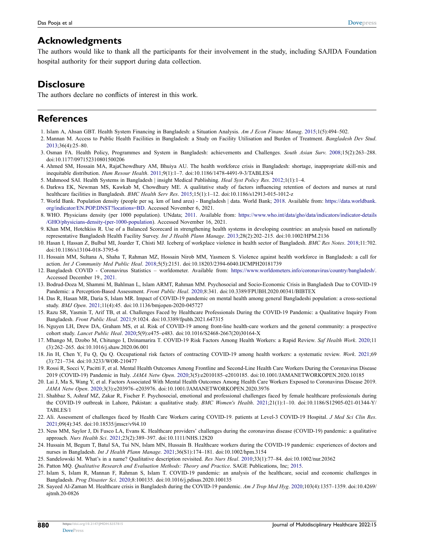### **Acknowledgments**

The authors would like to thank all the participants for their involvement in the study, including SAJIDA Foundation hospital authority for their support during data collection.

### **Disclosure**

The authors declare no conflicts of interest in this work.

### **References**

- <span id="page-11-0"></span>1. Islam A, Ahsan GBT. Health System Financing in Bangladesh: a Situation Analysis. *Am J Econ Financ Manag*. [2015](#page-0-1);1(5):494–502.
- <span id="page-11-1"></span>2. Mannan M. Access to Public Health Facilities in Bangladesh: a Study on Facility Utilisation and Burden of Treatment. *Bangladesh Dev Stud*. [2013;](#page-0-1)36(4):25–80.
- <span id="page-11-2"></span>3. Osman FA. Health Policy, Programmes and System in Bangladesh: achievements and Challenges. *South Asian Surv*. [2008;](#page-0-2)15(2):263–288. doi:[10.1177/097152310801500206](https://doi.org/10.1177/097152310801500206)
- <span id="page-11-3"></span>4. Ahmed SM, Hossain MA, RajaChowdhury AM, Bhuiya AU. The health workforce crisis in Bangladesh: shortage, inappropriate skill-mix and inequitable distribution. *Hum Resour Health*. [2011](#page-0-3);9(1):1–7. doi:[10.1186/1478-4491-9-3/TABLES/4](https://doi.org/10.1186/1478-4491-9-3/TABLES/4)
- <span id="page-11-4"></span>5. Mahmood SAI. Health Systems in Bangladesh | insight Medical Publishing. *Heal Syst Policy Res*. [2012](#page-0-4);1(1):1–4.
- <span id="page-11-5"></span>6. Darkwa EK, Newman MS, Kawkab M, Chowdhury ME. A qualitative study of factors influencing retention of doctors and nurses at rural healthcare facilities in Bangladesh. *BMC Health Serv Res*. [2015](#page-0-5);15(1):1–12. doi:[10.1186/s12913-015-1012-z](https://doi.org/10.1186/s12913-015-1012-z)
- <span id="page-11-6"></span>7. World Bank. Population density (people per sq. km of land area) - Bangladesh | data. World Bank; [2018](#page-0-6). Available from: [https://data.worldbank.](https://data.worldbank.org/indicator/EN.POP.DNST?locations=BD) [org/indicator/EN.POP.DNST?locations=BD.](https://data.worldbank.org/indicator/EN.POP.DNST?locations=BD) Accessed November 6, 2021.
- <span id="page-11-7"></span>8. WHO. Physicians density (per 1000 population). UNdata; [2011.](#page-1-0) Available from: [https://www.who.int/data/gho/data/indicators/indicator-details](https://www.who.int/data/gho/data/indicators/indicator-details/GHO/physicians-density-(per-1000-population) [/GHO/physicians-density-\(per-1000-population](https://www.who.int/data/gho/data/indicators/indicator-details/GHO/physicians-density-(per-1000-population)). Accessed November 16, 2021.
- <span id="page-11-8"></span>9. Khan MM, Hotchkiss R. Use of a Balanced Scorecard in strengthening health systems in developing countries: an analysis based on nationally representative Bangladesh Health Facility Survey. *Int J Health Plann Manage*. [2013;](#page-1-1)28(2):202–215. doi:[10.1002/HPM.2136](https://doi.org/10.1002/HPM.2136)
- <span id="page-11-9"></span>10. Hasan I, Hassan Z, Bulbul MI, Joarder T, Chisti MJ. Iceberg of workplace violence in health sector of Bangladesh. *BMC Res Notes*. [2018](#page-1-2);11:702. doi:[10.1186/s13104-018-3795-6](https://doi.org/10.1186/s13104-018-3795-6)
- <span id="page-11-10"></span>11. Hossain MM, Sultana A, Shaha T, Rahman MZ, Hossain Nirob MM, Yasmeen S. Violence against health workforce in Bangladesh: a call for action. *Int J Community Med Public Heal*. [2018;](#page-1-2)5(5):2151. doi:[10.18203/2394-6040.IJCMPH20181739](https://doi.org/10.18203/2394-6040.IJCMPH20181739)
- <span id="page-11-11"></span>12. Bangladesh COVID - Coronavirus Statistics – worldometer. Available from: <https://www.worldometers.info/coronavirus/country/bangladesh/>. Accessed December 19., [2021.](#page-1-3)
- <span id="page-11-12"></span>13. Bodrud-Doza M, Shammi M, Bahlman L, Islam ARMT, Rahman MM. Psychosocial and Socio-Economic Crisis in Bangladesh Due to COVID-19 Pandemic: a Perception-Based Assessment. *Front Public Heal*. [2020](#page-1-4);8:341. doi:[10.3389/FPUBH.2020.00341/BIBTEX](https://doi.org/10.3389/FPUBH.2020.00341/BIBTEX)
- <span id="page-11-13"></span>14. Das R, Hasan MR, Daria S, Islam MR. Impact of COVID-19 pandemic on mental health among general Bangladeshi population: a cross-sectional study. *BMJ Open*. [2021;](#page-1-5)11(4):45. doi:[10.1136/bmjopen-2020-045727](https://doi.org/10.1136/bmjopen-2020-045727)
- <span id="page-11-14"></span>15. Razu SR, Yasmin T, Arif TB, et al. Challenges Faced by Healthcare Professionals During the COVID-19 Pandemic: a Qualitative Inquiry From Bangladesh. *Front Public Heal*. [2021;](#page-1-6)9:1024. doi:[10.3389/fpubh.2021.647315](https://doi.org/10.3389/fpubh.2021.647315)
- <span id="page-11-15"></span>16. Nguyen LH, Drew DA, Graham MS, et al. Risk of COVID-19 among front-line health-care workers and the general community: a prospective cohort study. *Lancet Public Heal*. [2020](#page-1-7);5(9):e475–e483. doi:[10.1016/S2468-2667\(20\)30164-X](https://doi.org/10.1016/S2468-2667(20)30164-X)
- 17. Mhango M, Dzobo M, Chitungo I, Dzinamarira T. COVID-19 Risk Factors Among Health Workers: a Rapid Review. *Saf Health Work*. 2020;11 (3):262–265. doi:[10.1016/j.shaw.2020.06.001](https://doi.org/10.1016/j.shaw.2020.06.001)
- <span id="page-11-16"></span>18. Jin H, Chen Y, Fu Q, Qu Q. Occupational risk factors of contracting COVID-19 among health workers: a systematic review. *Work*. 2021;69 (3):721–734. doi:[10.3233/WOR-210477](https://doi.org/10.3233/WOR-210477)
- <span id="page-11-17"></span>19. Rossi R, Socci V, Pacitti F, et al. Mental Health Outcomes Among Frontline and Second-Line Health Care Workers During the Coronavirus Disease 2019 (COVID-19) Pandemic in Italy. *JAMA Netw Open*. [2020;](#page-1-8)3(5):e2010185–e2010185. doi:[10.1001/JAMANETWORKOPEN.2020.10185](https://doi.org/10.1001/JAMANETWORKOPEN.2020.10185)
- <span id="page-11-18"></span>20. Lai J, Ma S, Wang Y, et al. Factors Associated With Mental Health Outcomes Among Health Care Workers Exposed to Coronavirus Disease 2019. *JAMA Netw Open*. [2020](#page-1-8);3(3):e203976–e203976. doi:[10.1001/JAMANETWORKOPEN.2020.3976](https://doi.org/10.1001/JAMANETWORKOPEN.2020.3976)
- <span id="page-11-19"></span>21. Shahbaz S, Ashraf MZ, Zakar R, Fischer F. Psychosocial, emotional and professional challenges faced by female healthcare professionals during the COVID-19 outbreak in Lahore, Pakistan: a qualitative study. *BMC Women's Health*. [2021](#page-1-9);21(1):1–10. doi:[10.1186/S12905-021-01344-Y/](https://doi.org/10.1186/S12905-021-01344-Y/TABLES/1) [TABLES/1](https://doi.org/10.1186/S12905-021-01344-Y/TABLES/1)
- <span id="page-11-20"></span>22. Ali. Assessment of challenges faced by Health Care Workers caring COVID-19. patients at Level-3 COVID-19 Hospital. *J Med Sci Clin Res*. [2021;](#page-1-10)09(4):345. doi:[10.18535/jmscr/v9i4.10](https://doi.org/10.18535/jmscr/v9i4.10)
- <span id="page-11-21"></span>23. Ness MM, Saylor J, Di Fusco LA, Evans K. Healthcare providers' challenges during the coronavirus disease (COVID-19) pandemic: a qualitative approach. *Nurs Health Sci*. [2021;](#page-1-11)23(2):389–397. doi:[10.1111/NHS.12820](https://doi.org/10.1111/NHS.12820)
- <span id="page-11-22"></span>24. Hussain M, Begum T, Batul SA, Tui NN, Islam MN, Hussain B. Healthcare workers during the COVID-19 pandemic: experiences of doctors and nurses in Bangladesh. *Int J Health Plann Manage*. [2021](#page-1-12);36(S1):174–181. doi:[10.1002/hpm.3154](https://doi.org/10.1002/hpm.3154)
- <span id="page-11-23"></span>25. Sandelowski M. What's in a name? Qualitative description revisited. *Res Nurs Heal*. [2010](#page-1-13);33(1):77–84. doi:[10.1002/nur.20362](https://doi.org/10.1002/nur.20362)
- <span id="page-11-24"></span>26. Patton MQ. *Qualitative Research and Evaluation Methods: Theory and Practice*. SAGE Publications, Inc; [2015.](#page-2-1)
- <span id="page-11-25"></span>27. Islam S, Islam R, Mannan F, Rahman S, Islam T. COVID-19 pandemic: an analysis of the healthcare, social and economic challenges in Bangladesh. *Prog Disaster Sci*. [2020](#page-9-0);8:100135. doi:[10.1016/j.pdisas.2020.100135](https://doi.org/10.1016/j.pdisas.2020.100135)
- <span id="page-11-26"></span>28. Sayeed Al-Zaman M. Healthcare crisis in Bangladesh during the COVID-19 pandemic. *Am J Trop Med Hyg*. [2020;](#page-9-1)103(4):1357–1359. doi:[10.4269/](https://doi.org/10.4269/ajtmh.20-0826) [ajtmh.20-0826](https://doi.org/10.4269/ajtmh.20-0826)